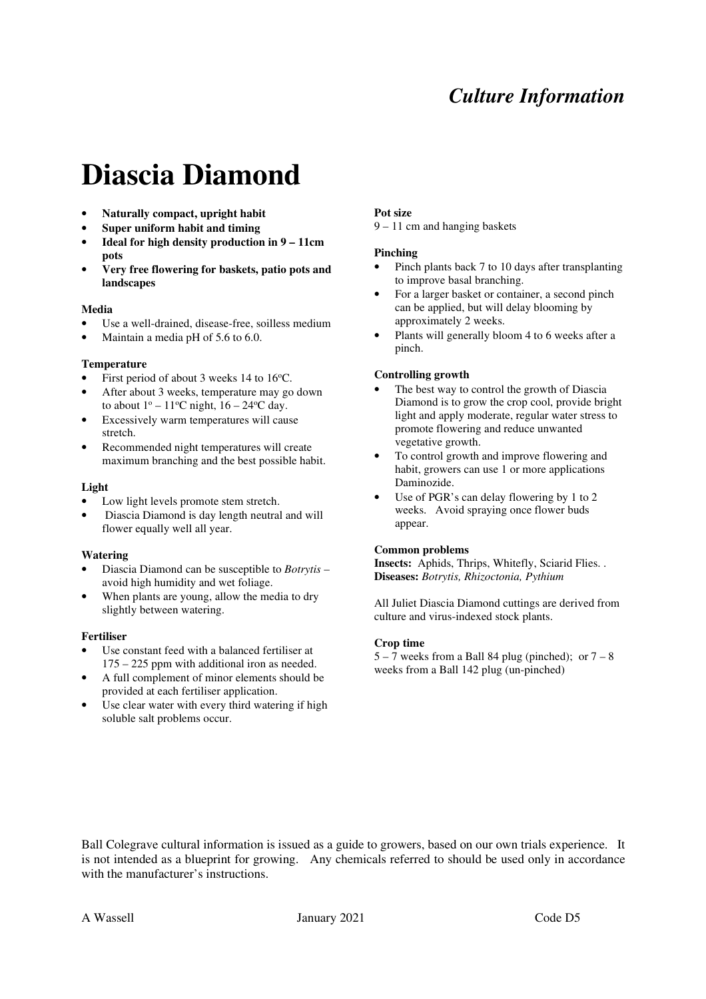# *Culture Information*

# **Diascia Diamond**

- **Naturally compact, upright habit**
- **Super uniform habit and timing**
- **Ideal for high density production in 9 11cm pots**
- **Very free flowering for baskets, patio pots and landscapes**

## **Media**

- Use a well-drained, disease-free, soilless medium
- Maintain a media pH of 5.6 to 6.0.

#### **Temperature**

- First period of about 3 weeks 14 to 16 °C.
- After about 3 weeks, temperature may go down to about  $1^{\circ}$  – 11<sup>o</sup>C night,  $16 - 24^{\circ}$ C day.
- Excessively warm temperatures will cause stretch.
- Recommended night temperatures will create maximum branching and the best possible habit.

## **Light**

- Low light levels promote stem stretch.
- Diascia Diamond is day length neutral and will flower equally well all year.

#### **Watering**

- Diascia Diamond can be susceptible to *Botrytis* avoid high humidity and wet foliage.
- When plants are young, allow the media to dry slightly between watering.

#### **Fertiliser**

- Use constant feed with a balanced fertiliser at 175 – 225 ppm with additional iron as needed.
- A full complement of minor elements should be provided at each fertiliser application.
- Use clear water with every third watering if high soluble salt problems occur.

#### **Pot size**

9 – 11 cm and hanging baskets

#### **Pinching**

- Pinch plants back 7 to 10 days after transplanting to improve basal branching.
- For a larger basket or container, a second pinch can be applied, but will delay blooming by approximately 2 weeks.
- Plants will generally bloom 4 to 6 weeks after a pinch.

#### **Controlling growth**

- The best way to control the growth of Diascia Diamond is to grow the crop cool, provide bright light and apply moderate, regular water stress to promote flowering and reduce unwanted vegetative growth.
- To control growth and improve flowering and habit, growers can use 1 or more applications Daminozide.
- Use of PGR's can delay flowering by 1 to 2 weeks. Avoid spraying once flower buds appear.

## **Common problems**

**Insects:** Aphids, Thrips, Whitefly, Sciarid Flies. . **Diseases:** *Botrytis, Rhizoctonia, Pythium* 

All Juliet Diascia Diamond cuttings are derived from culture and virus-indexed stock plants.

#### **Crop time**

 $5 - 7$  weeks from a Ball 84 plug (pinched); or  $7 - 8$ weeks from a Ball 142 plug (un-pinched)

Ball Colegrave cultural information is issued as a guide to growers, based on our own trials experience. It is not intended as a blueprint for growing. Any chemicals referred to should be used only in accordance with the manufacturer's instructions.